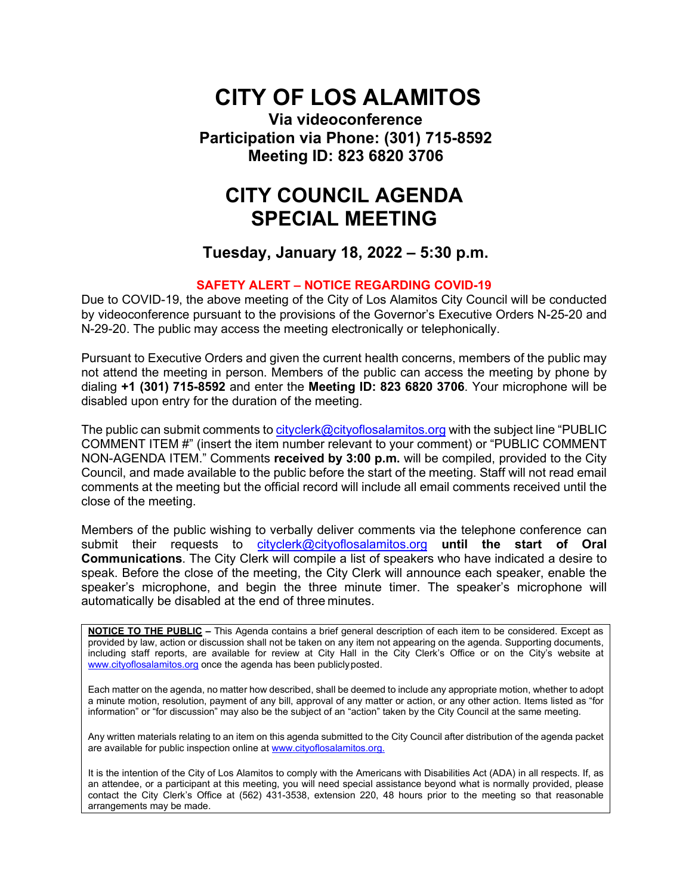## **CITY OF LOS ALAMITOS**

**Via videoconference Participation via Phone: (301) 715-8592 Meeting ID: 823 6820 3706**

### **CITY COUNCIL AGENDA SPECIAL MEETING**

**Tuesday, January 18, 2022 – 5:30 p.m.**

#### **SAFETY ALERT – NOTICE REGARDING COVID-19**

Due to COVID-19, the above meeting of the City of Los Alamitos City Council will be conducted by videoconference pursuant to the provisions of the Governor's Executive Orders N-25-20 and N-29-20. The public may access the meeting electronically or telephonically.

Pursuant to Executive Orders and given the current health concerns, members of the public may not attend the meeting in person. Members of the public can access the meeting by phone by dialing **+1 (301) 715-8592** and enter the **Meeting ID: 823 6820 3706**. Your microphone will be disabled upon entry for the duration of the meeting.

The public can submit comments to [cityclerk@cityoflosalamitos.org](mailto:cityclerk@cityoflosalamitos.org) with the subject line "PUBLIC COMMENT ITEM #" (insert the item number relevant to your comment) or "PUBLIC COMMENT NON-AGENDA ITEM." Comments **received by 3:00 p.m.** will be compiled, provided to the City Council, and made available to the public before the start of the meeting. Staff will not read email comments at the meeting but the official record will include all email comments received until the close of the meeting.

Members of the public wishing to verbally deliver comments via the telephone conference can submit their requests t[o cityclerk@cityoflosalamitos.org](mailto:cityclerk@cityoflosalamitos.org) **until the start of Oral Communications**. The City Clerk will compile a list of speakers who have indicated a desire to speak. Before the close of the meeting, the City Clerk will announce each speaker, enable the speaker's microphone, and begin the three minute timer. The speaker's microphone will automatically be disabled at the end of three minutes.

**NOTICE TO THE PUBLIC –** This Agenda contains a brief general description of each item to be considered. Except as provided by law, action or discussion shall not be taken on any item not appearing on the agenda. Supporting documents, including staff reports, are available for review at City Hall in the City Clerk's Office or on the City's website at [www.cityoflosalamitos.org](http://www.cityoflosalamitos.org/) once the agenda has been publiclyposted.

Each matter on the agenda, no matter how described, shall be deemed to include any appropriate motion, whether to adopt a minute motion, resolution, payment of any bill, approval of any matter or action, or any other action. Items listed as "for information" or "for discussion" may also be the subject of an "action" taken by the City Council at the same meeting.

Any written materials relating to an item on this agenda submitted to the City Council after distribution of the agenda packet are available for public inspection online a[t www.cityoflosalamitos.org.](http://www.cityoflosalamitos.org/)

It is the intention of the City of Los Alamitos to comply with the Americans with Disabilities Act (ADA) in all respects. If, as an attendee, or a participant at this meeting, you will need special assistance beyond what is normally provided, please contact the City Clerk's Office at (562) 431-3538, extension 220, 48 hours prior to the meeting so that reasonable arrangements may be made.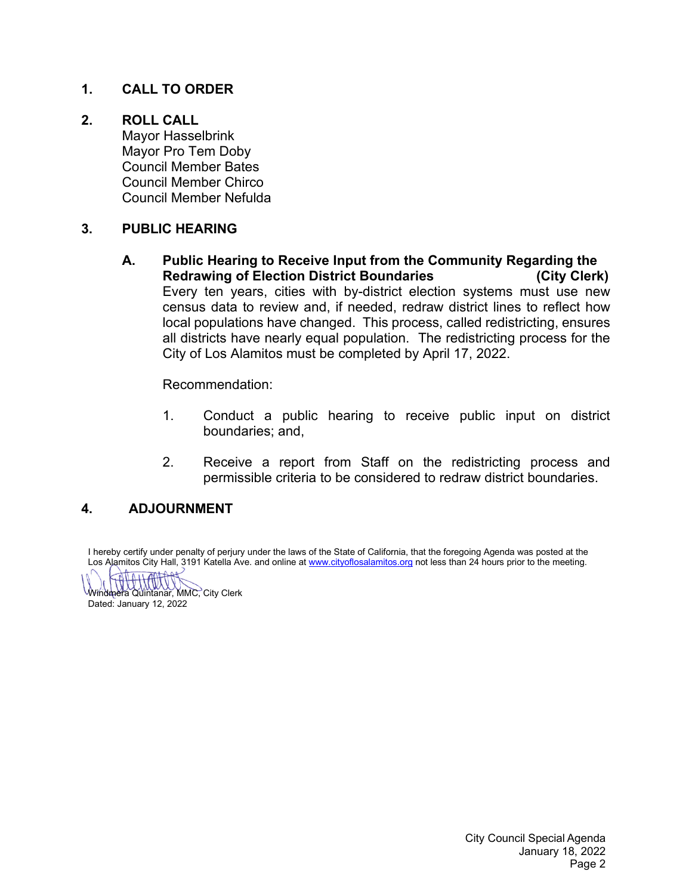### **1. CALL TO ORDER**

### **2. ROLL CALL**

Mayor Hasselbrink Mayor Pro Tem Doby Council Member Bates Council Member Chirco Council Member Nefulda

### **3. PUBLIC HEARING**

**A. Public Hearing to Receive Input from the Community Regarding the Redrawing of Election District Boundaries (City Clerk)** Every ten years, cities with by-district election systems must use new census data to review and, if needed, redraw district lines to reflect how local populations have changed. This process, called redistricting, ensures all districts have nearly equal population. The redistricting process for the City of Los Alamitos must be completed by April 17, 2022.

Recommendation:

- 1. Conduct a public hearing to receive public input on district boundaries; and,
- 2. Receive a report from Staff on the redistricting process and permissible criteria to be considered to redraw district boundaries.

### **4. ADJOURNMENT**

I hereby certify under penalty of perjury under the laws of the State of California, that the foregoing Agenda was posted at the Los Alamitos City Hall, 3191 Katella Ave. and online a[t www.cityoflosalamitos.org](http://www.cityoflosalamitos.org/) not less than 24 hours prior to the meeting.

Windmera Quintanar, MMC, City Clerk Dated: January 12, 2022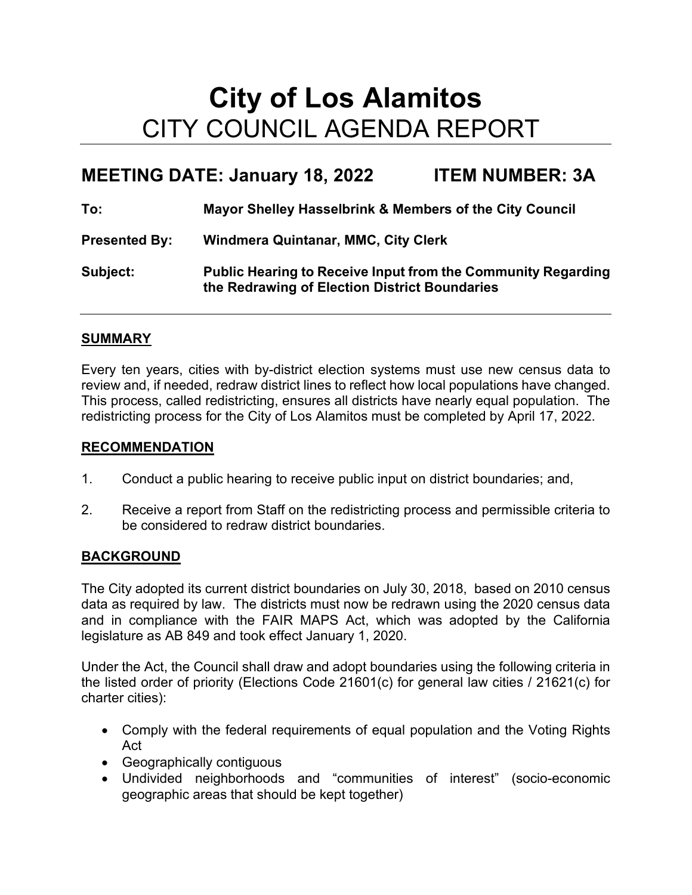# **City of Los Alamitos** CITY COUNCIL AGENDA REPORT

### **MEETING DATE: January 18, 2022 ITEM NUMBER: 3A**

**To: Mayor Shelley Hasselbrink & Members of the City Council**

**Presented By: Windmera Quintanar, MMC, City Clerk**

**Subject: Public Hearing to Receive Input from the Community Regarding the Redrawing of Election District Boundaries**

### **SUMMARY**

Every ten years, cities with by-district election systems must use new census data to review and, if needed, redraw district lines to reflect how local populations have changed. This process, called redistricting, ensures all districts have nearly equal population. The redistricting process for the City of Los Alamitos must be completed by April 17, 2022.

#### **RECOMMENDATION**

- 1. Conduct a public hearing to receive public input on district boundaries; and,
- 2. Receive a report from Staff on the redistricting process and permissible criteria to be considered to redraw district boundaries.

### **BACKGROUND**

The City adopted its current district boundaries on July 30, 2018, based on 2010 census data as required by law. The districts must now be redrawn using the 2020 census data and in compliance with the FAIR MAPS Act, which was adopted by the California legislature as AB 849 and took effect January 1, 2020.

Under the Act, the Council shall draw and adopt boundaries using the following criteria in the listed order of priority (Elections Code 21601(c) for general law cities / 21621(c) for charter cities):

- Comply with the federal requirements of equal population and the Voting Rights Act
- Geographically contiguous
- Undivided neighborhoods and "communities of interest" (socio-economic geographic areas that should be kept together)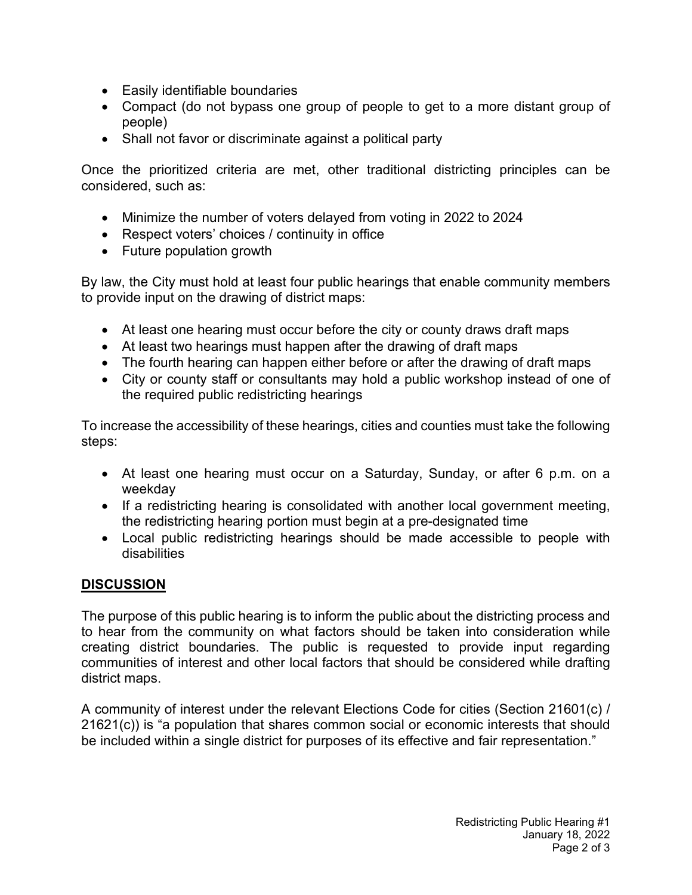- Easily identifiable boundaries
- Compact (do not bypass one group of people to get to a more distant group of people)
- Shall not favor or discriminate against a political party

Once the prioritized criteria are met, other traditional districting principles can be considered, such as:

- Minimize the number of voters delayed from voting in 2022 to 2024
- Respect voters' choices / continuity in office
- Future population growth

By law, the City must hold at least four public hearings that enable community members to provide input on the drawing of district maps:

- At least one hearing must occur before the city or county draws draft maps
- At least two hearings must happen after the drawing of draft maps
- The fourth hearing can happen either before or after the drawing of draft maps
- City or county staff or consultants may hold a public workshop instead of one of the required public redistricting hearings

To increase the accessibility of these hearings, cities and counties must take the following steps:

- At least one hearing must occur on a Saturday, Sunday, or after 6 p.m. on a weekday
- If a redistricting hearing is consolidated with another local government meeting, the redistricting hearing portion must begin at a pre-designated time
- Local public redistricting hearings should be made accessible to people with disabilities

### **DISCUSSION**

The purpose of this public hearing is to inform the public about the districting process and to hear from the community on what factors should be taken into consideration while creating district boundaries. The public is requested to provide input regarding communities of interest and other local factors that should be considered while drafting district maps.

A community of interest under the relevant Elections Code for cities (Section 21601(c) / 21621(c)) is "a population that shares common social or economic interests that should be included within a single district for purposes of its effective and fair representation."